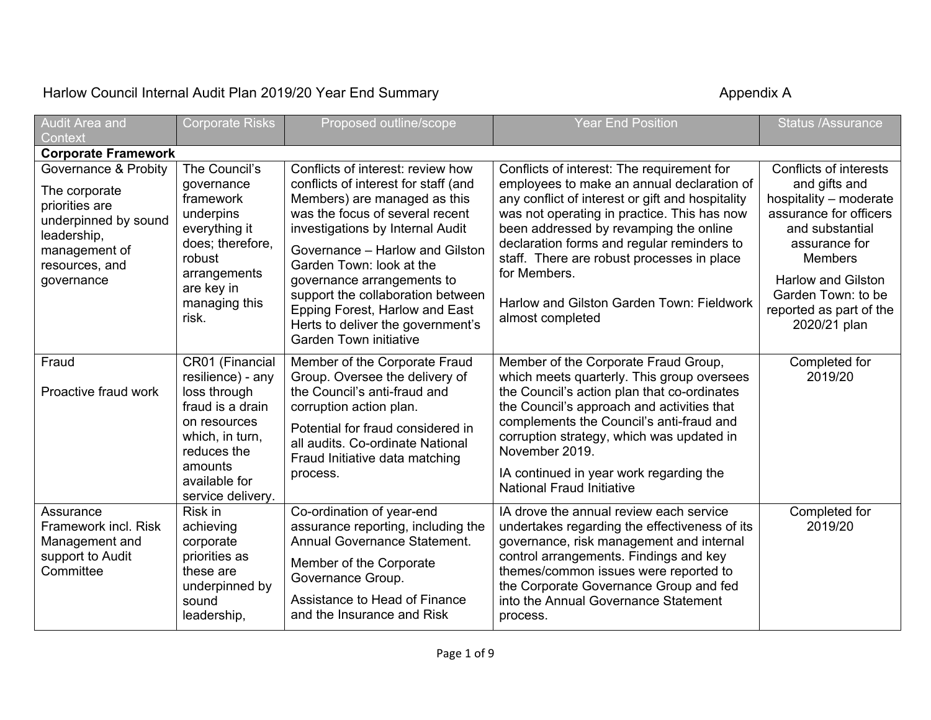## Harlow Council Internal Audit Plan 2019/20 Year End Summary **Accouncil System Appendix A** Appendix A

| Audit Area and<br>Context                                                                                                                       | <b>Corporate Risks</b>                                                                                                                                                      | Proposed outline/scope                                                                                                                                                                                                                                                                                                                                                                                                     | <b>Year End Position</b>                                                                                                                                                                                                                                                                                                                                                                                           | <b>Status /Assurance</b>                                                                                                                                                                                                                        |
|-------------------------------------------------------------------------------------------------------------------------------------------------|-----------------------------------------------------------------------------------------------------------------------------------------------------------------------------|----------------------------------------------------------------------------------------------------------------------------------------------------------------------------------------------------------------------------------------------------------------------------------------------------------------------------------------------------------------------------------------------------------------------------|--------------------------------------------------------------------------------------------------------------------------------------------------------------------------------------------------------------------------------------------------------------------------------------------------------------------------------------------------------------------------------------------------------------------|-------------------------------------------------------------------------------------------------------------------------------------------------------------------------------------------------------------------------------------------------|
| <b>Corporate Framework</b>                                                                                                                      |                                                                                                                                                                             |                                                                                                                                                                                                                                                                                                                                                                                                                            |                                                                                                                                                                                                                                                                                                                                                                                                                    |                                                                                                                                                                                                                                                 |
| Governance & Probity<br>The corporate<br>priorities are<br>underpinned by sound<br>leadership,<br>management of<br>resources, and<br>governance | The Council's<br>governance<br>framework<br>underpins<br>everything it<br>does; therefore,<br>robust<br>arrangements<br>are key in<br>managing this<br>risk.                | Conflicts of interest: review how<br>conflicts of interest for staff (and<br>Members) are managed as this<br>was the focus of several recent<br>investigations by Internal Audit<br>Governance - Harlow and Gilston<br>Garden Town: look at the<br>governance arrangements to<br>support the collaboration between<br>Epping Forest, Harlow and East<br>Herts to deliver the government's<br><b>Garden Town initiative</b> | Conflicts of interest: The requirement for<br>employees to make an annual declaration of<br>any conflict of interest or gift and hospitality<br>was not operating in practice. This has now<br>been addressed by revamping the online<br>declaration forms and regular reminders to<br>staff. There are robust processes in place<br>for Members.<br>Harlow and Gilston Garden Town: Fieldwork<br>almost completed | Conflicts of interests<br>and gifts and<br>hospitality - moderate<br>assurance for officers<br>and substantial<br>assurance for<br><b>Members</b><br><b>Harlow and Gilston</b><br>Garden Town: to be<br>reported as part of the<br>2020/21 plan |
| Fraud<br>Proactive fraud work                                                                                                                   | CR01 (Financial<br>resilience) - any<br>loss through<br>fraud is a drain<br>on resources<br>which, in turn,<br>reduces the<br>amounts<br>available for<br>service delivery. | Member of the Corporate Fraud<br>Group. Oversee the delivery of<br>the Council's anti-fraud and<br>corruption action plan.<br>Potential for fraud considered in<br>all audits. Co-ordinate National<br>Fraud Initiative data matching<br>process.                                                                                                                                                                          | Member of the Corporate Fraud Group,<br>which meets quarterly. This group oversees<br>the Council's action plan that co-ordinates<br>the Council's approach and activities that<br>complements the Council's anti-fraud and<br>corruption strategy, which was updated in<br>November 2019.<br>IA continued in year work regarding the<br><b>National Fraud Initiative</b>                                          | Completed for<br>2019/20                                                                                                                                                                                                                        |
| Assurance<br>Framework incl. Risk<br>Management and<br>support to Audit<br>Committee                                                            | Risk in<br>achieving<br>corporate<br>priorities as<br>these are<br>underpinned by<br>sound<br>leadership,                                                                   | Co-ordination of year-end<br>assurance reporting, including the<br>Annual Governance Statement.<br>Member of the Corporate<br>Governance Group.<br>Assistance to Head of Finance<br>and the Insurance and Risk                                                                                                                                                                                                             | IA drove the annual review each service<br>undertakes regarding the effectiveness of its<br>governance, risk management and internal<br>control arrangements. Findings and key<br>themes/common issues were reported to<br>the Corporate Governance Group and fed<br>into the Annual Governance Statement<br>process.                                                                                              | Completed for<br>2019/20                                                                                                                                                                                                                        |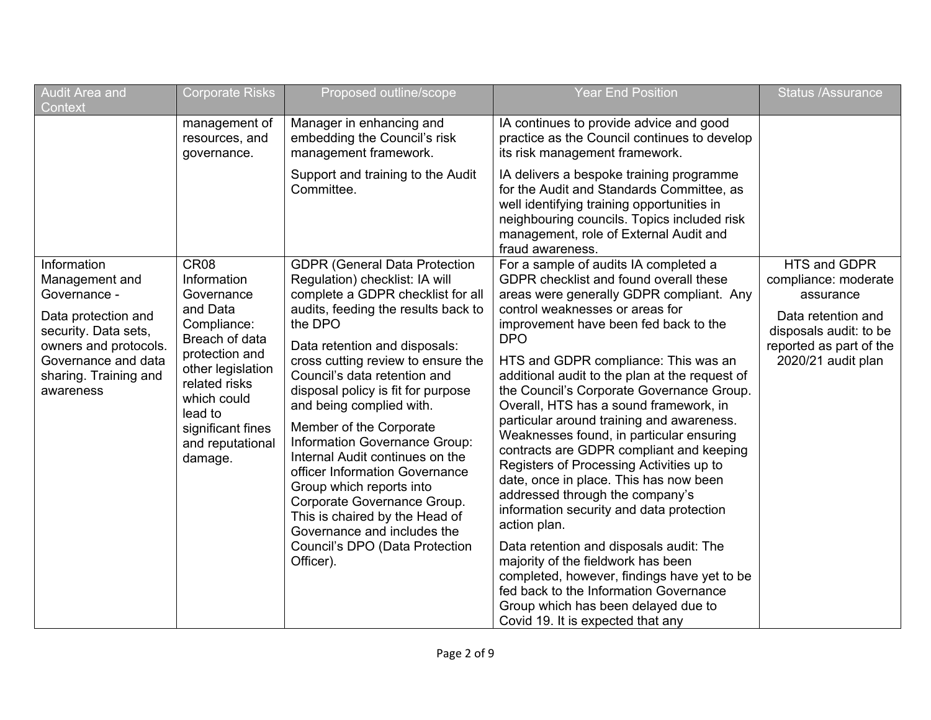| Audit Area and<br>Context                                                                                                                                                          | <b>Corporate Risks</b>                                                                                                                                                                                                      | Proposed outline/scope                                                                                                                                                                                                                                                                                                                                                                                                                                                                                                                                                                                                                             | <b>Year End Position</b>                                                                                                                                                                                                                                                                                                                                                                                                                                                                                                                                                                                                                                                                                                                                                                                                                                                                                                                          | <b>Status /Assurance</b>                                                                                                                           |
|------------------------------------------------------------------------------------------------------------------------------------------------------------------------------------|-----------------------------------------------------------------------------------------------------------------------------------------------------------------------------------------------------------------------------|----------------------------------------------------------------------------------------------------------------------------------------------------------------------------------------------------------------------------------------------------------------------------------------------------------------------------------------------------------------------------------------------------------------------------------------------------------------------------------------------------------------------------------------------------------------------------------------------------------------------------------------------------|---------------------------------------------------------------------------------------------------------------------------------------------------------------------------------------------------------------------------------------------------------------------------------------------------------------------------------------------------------------------------------------------------------------------------------------------------------------------------------------------------------------------------------------------------------------------------------------------------------------------------------------------------------------------------------------------------------------------------------------------------------------------------------------------------------------------------------------------------------------------------------------------------------------------------------------------------|----------------------------------------------------------------------------------------------------------------------------------------------------|
|                                                                                                                                                                                    | management of<br>resources, and<br>governance.                                                                                                                                                                              | Manager in enhancing and<br>embedding the Council's risk<br>management framework.                                                                                                                                                                                                                                                                                                                                                                                                                                                                                                                                                                  | IA continues to provide advice and good<br>practice as the Council continues to develop<br>its risk management framework.                                                                                                                                                                                                                                                                                                                                                                                                                                                                                                                                                                                                                                                                                                                                                                                                                         |                                                                                                                                                    |
|                                                                                                                                                                                    |                                                                                                                                                                                                                             | Support and training to the Audit<br>Committee.                                                                                                                                                                                                                                                                                                                                                                                                                                                                                                                                                                                                    | IA delivers a bespoke training programme<br>for the Audit and Standards Committee, as<br>well identifying training opportunities in<br>neighbouring councils. Topics included risk<br>management, role of External Audit and<br>fraud awareness.                                                                                                                                                                                                                                                                                                                                                                                                                                                                                                                                                                                                                                                                                                  |                                                                                                                                                    |
| Information<br>Management and<br>Governance -<br>Data protection and<br>security. Data sets,<br>owners and protocols.<br>Governance and data<br>sharing. Training and<br>awareness | <b>CR08</b><br>Information<br>Governance<br>and Data<br>Compliance:<br>Breach of data<br>protection and<br>other legislation<br>related risks<br>which could<br>lead to<br>significant fines<br>and reputational<br>damage. | <b>GDPR (General Data Protection</b><br>Regulation) checklist: IA will<br>complete a GDPR checklist for all<br>audits, feeding the results back to<br>the DPO<br>Data retention and disposals:<br>cross cutting review to ensure the<br>Council's data retention and<br>disposal policy is fit for purpose<br>and being complied with.<br>Member of the Corporate<br>Information Governance Group:<br>Internal Audit continues on the<br>officer Information Governance<br>Group which reports into<br>Corporate Governance Group.<br>This is chaired by the Head of<br>Governance and includes the<br>Council's DPO (Data Protection<br>Officer). | For a sample of audits IA completed a<br>GDPR checklist and found overall these<br>areas were generally GDPR compliant. Any<br>control weaknesses or areas for<br>improvement have been fed back to the<br><b>DPO</b><br>HTS and GDPR compliance: This was an<br>additional audit to the plan at the request of<br>the Council's Corporate Governance Group.<br>Overall, HTS has a sound framework, in<br>particular around training and awareness.<br>Weaknesses found, in particular ensuring<br>contracts are GDPR compliant and keeping<br>Registers of Processing Activities up to<br>date, once in place. This has now been<br>addressed through the company's<br>information security and data protection<br>action plan.<br>Data retention and disposals audit: The<br>majority of the fieldwork has been<br>completed, however, findings have yet to be<br>fed back to the Information Governance<br>Group which has been delayed due to | HTS and GDPR<br>compliance: moderate<br>assurance<br>Data retention and<br>disposals audit: to be<br>reported as part of the<br>2020/21 audit plan |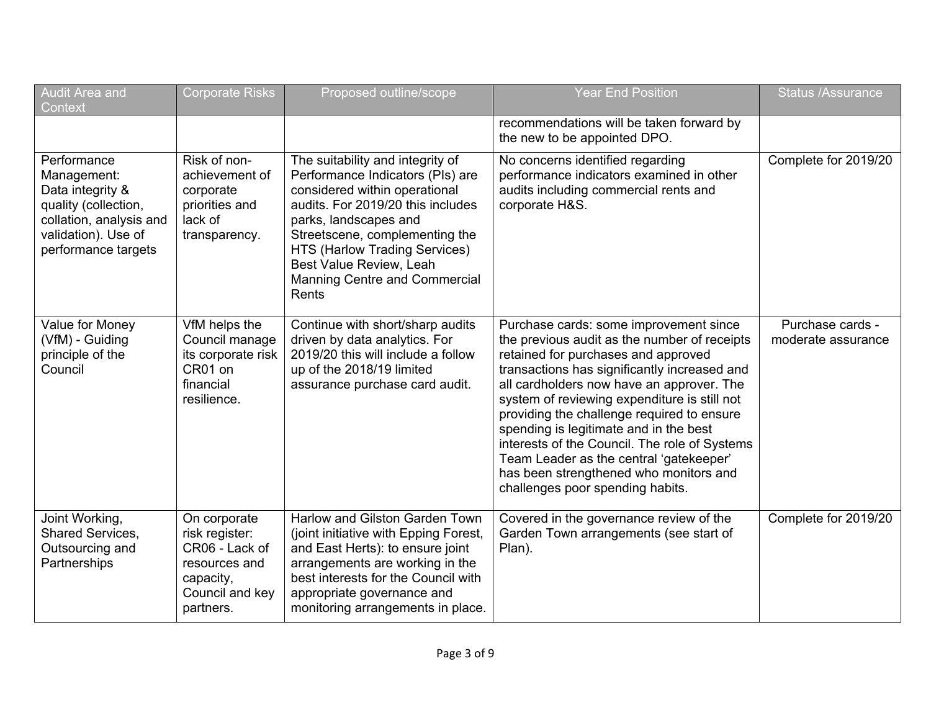| <b>Audit Area and</b><br>Context                                                                                                                | <b>Corporate Risks</b>                                                                                         | Proposed outline/scope                                                                                                                                                                                                                                                                                      | <b>Year End Position</b>                                                                                                                                                                                                                                                                                                                                                                                                                                                                                                                     | <b>Status /Assurance</b>               |
|-------------------------------------------------------------------------------------------------------------------------------------------------|----------------------------------------------------------------------------------------------------------------|-------------------------------------------------------------------------------------------------------------------------------------------------------------------------------------------------------------------------------------------------------------------------------------------------------------|----------------------------------------------------------------------------------------------------------------------------------------------------------------------------------------------------------------------------------------------------------------------------------------------------------------------------------------------------------------------------------------------------------------------------------------------------------------------------------------------------------------------------------------------|----------------------------------------|
|                                                                                                                                                 |                                                                                                                |                                                                                                                                                                                                                                                                                                             | recommendations will be taken forward by<br>the new to be appointed DPO.                                                                                                                                                                                                                                                                                                                                                                                                                                                                     |                                        |
| Performance<br>Management:<br>Data integrity &<br>quality (collection,<br>collation, analysis and<br>validation). Use of<br>performance targets | Risk of non-<br>achievement of<br>corporate<br>priorities and<br>lack of<br>transparency.                      | The suitability and integrity of<br>Performance Indicators (PIs) are<br>considered within operational<br>audits. For 2019/20 this includes<br>parks, landscapes and<br>Streetscene, complementing the<br>HTS (Harlow Trading Services)<br>Best Value Review, Leah<br>Manning Centre and Commercial<br>Rents | No concerns identified regarding<br>performance indicators examined in other<br>audits including commercial rents and<br>corporate H&S.                                                                                                                                                                                                                                                                                                                                                                                                      | Complete for 2019/20                   |
| Value for Money<br>(VfM) - Guiding<br>principle of the<br>Council                                                                               | VfM helps the<br>Council manage<br>its corporate risk<br>CR01 on<br>financial<br>resilience.                   | Continue with short/sharp audits<br>driven by data analytics. For<br>2019/20 this will include a follow<br>up of the 2018/19 limited<br>assurance purchase card audit.                                                                                                                                      | Purchase cards: some improvement since<br>the previous audit as the number of receipts<br>retained for purchases and approved<br>transactions has significantly increased and<br>all cardholders now have an approver. The<br>system of reviewing expenditure is still not<br>providing the challenge required to ensure<br>spending is legitimate and in the best<br>interests of the Council. The role of Systems<br>Team Leader as the central 'gatekeeper'<br>has been strengthened who monitors and<br>challenges poor spending habits. | Purchase cards -<br>moderate assurance |
| Joint Working,<br><b>Shared Services,</b><br>Outsourcing and<br>Partnerships                                                                    | On corporate<br>risk register:<br>CR06 - Lack of<br>resources and<br>capacity,<br>Council and key<br>partners. | Harlow and Gilston Garden Town<br>(joint initiative with Epping Forest,<br>and East Herts): to ensure joint<br>arrangements are working in the<br>best interests for the Council with<br>appropriate governance and<br>monitoring arrangements in place.                                                    | Covered in the governance review of the<br>Garden Town arrangements (see start of<br>Plan).                                                                                                                                                                                                                                                                                                                                                                                                                                                  | Complete for 2019/20                   |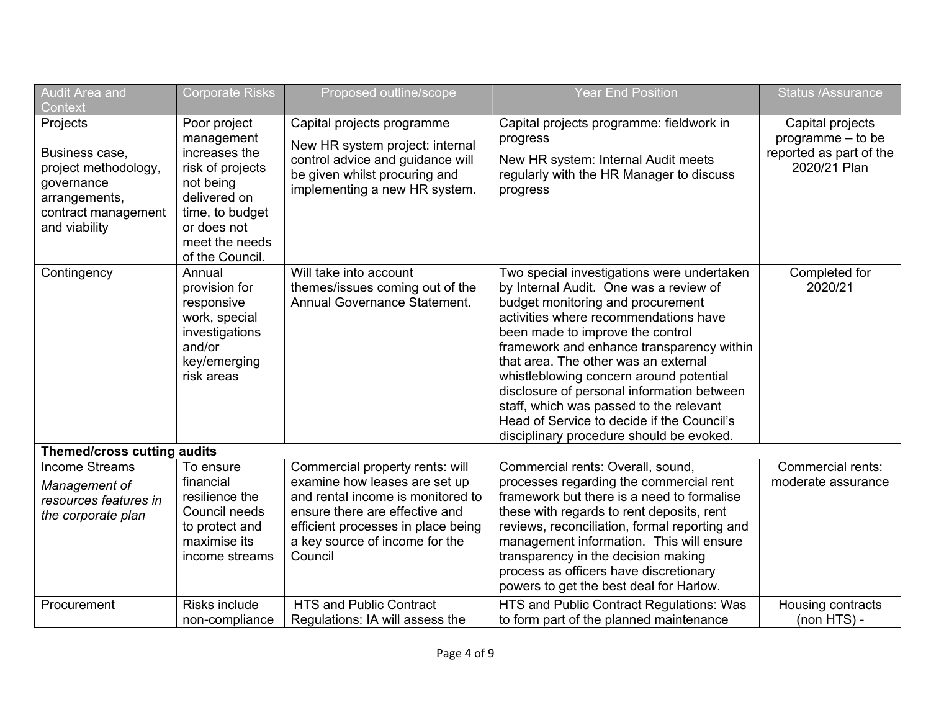| <b>Audit Area and</b><br>Context                                                                                          | <b>Corporate Risks</b>                                                                                                                                              | Proposed outline/scope                                                                                                                                                                                                     | <b>Year End Position</b>                                                                                                                                                                                                                                                                                                                                                                                                                                                                                                  | <b>Status /Assurance</b>                                                         |
|---------------------------------------------------------------------------------------------------------------------------|---------------------------------------------------------------------------------------------------------------------------------------------------------------------|----------------------------------------------------------------------------------------------------------------------------------------------------------------------------------------------------------------------------|---------------------------------------------------------------------------------------------------------------------------------------------------------------------------------------------------------------------------------------------------------------------------------------------------------------------------------------------------------------------------------------------------------------------------------------------------------------------------------------------------------------------------|----------------------------------------------------------------------------------|
| Projects<br>Business case,<br>project methodology,<br>governance<br>arrangements,<br>contract management<br>and viability | Poor project<br>management<br>increases the<br>risk of projects<br>not being<br>delivered on<br>time, to budget<br>or does not<br>meet the needs<br>of the Council. | Capital projects programme<br>New HR system project: internal<br>control advice and guidance will<br>be given whilst procuring and<br>implementing a new HR system.                                                        | Capital projects programme: fieldwork in<br>progress<br>New HR system: Internal Audit meets<br>regularly with the HR Manager to discuss<br>progress                                                                                                                                                                                                                                                                                                                                                                       | Capital projects<br>programme - to be<br>reported as part of the<br>2020/21 Plan |
| Contingency                                                                                                               | Annual<br>provision for<br>responsive<br>work, special<br>investigations<br>and/or<br>key/emerging<br>risk areas                                                    | Will take into account<br>themes/issues coming out of the<br>Annual Governance Statement.                                                                                                                                  | Two special investigations were undertaken<br>by Internal Audit. One was a review of<br>budget monitoring and procurement<br>activities where recommendations have<br>been made to improve the control<br>framework and enhance transparency within<br>that area. The other was an external<br>whistleblowing concern around potential<br>disclosure of personal information between<br>staff, which was passed to the relevant<br>Head of Service to decide if the Council's<br>disciplinary procedure should be evoked. | Completed for<br>2020/21                                                         |
| <b>Themed/cross cutting audits</b>                                                                                        |                                                                                                                                                                     |                                                                                                                                                                                                                            |                                                                                                                                                                                                                                                                                                                                                                                                                                                                                                                           |                                                                                  |
| <b>Income Streams</b><br>Management of<br>resources features in<br>the corporate plan                                     | To ensure<br>financial<br>resilience the<br>Council needs<br>to protect and<br>maximise its<br>income streams                                                       | Commercial property rents: will<br>examine how leases are set up<br>and rental income is monitored to<br>ensure there are effective and<br>efficient processes in place being<br>a key source of income for the<br>Council | Commercial rents: Overall, sound,<br>processes regarding the commercial rent<br>framework but there is a need to formalise<br>these with regards to rent deposits, rent<br>reviews, reconciliation, formal reporting and<br>management information. This will ensure<br>transparency in the decision making<br>process as officers have discretionary<br>powers to get the best deal for Harlow.                                                                                                                          | Commercial rents:<br>moderate assurance                                          |
| Procurement                                                                                                               | Risks include<br>non-compliance                                                                                                                                     | <b>HTS and Public Contract</b><br>Regulations: IA will assess the                                                                                                                                                          | HTS and Public Contract Regulations: Was<br>to form part of the planned maintenance                                                                                                                                                                                                                                                                                                                                                                                                                                       | Housing contracts<br>$(non HTS) -$                                               |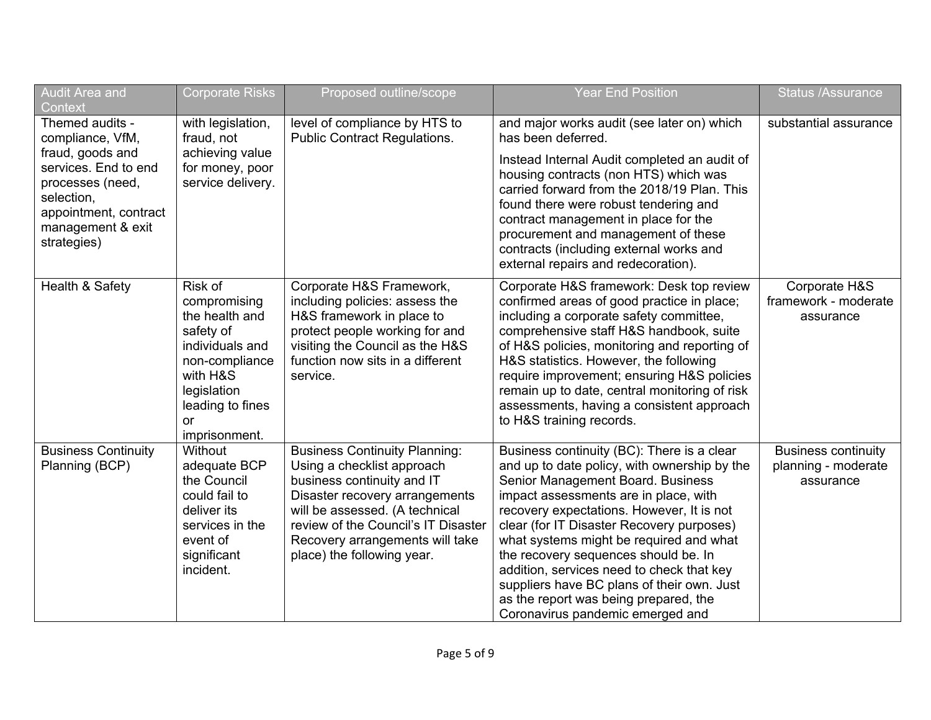| Audit Area and<br>Context                                                                                                                                                      | <b>Corporate Risks</b>                                                                                                                                                   | Proposed outline/scope                                                                                                                                                                                                                                                       | <b>Year End Position</b>                                                                                                                                                                                                                                                                                                                                                                                                                                                                                                      | <b>Status /Assurance</b>                                       |
|--------------------------------------------------------------------------------------------------------------------------------------------------------------------------------|--------------------------------------------------------------------------------------------------------------------------------------------------------------------------|------------------------------------------------------------------------------------------------------------------------------------------------------------------------------------------------------------------------------------------------------------------------------|-------------------------------------------------------------------------------------------------------------------------------------------------------------------------------------------------------------------------------------------------------------------------------------------------------------------------------------------------------------------------------------------------------------------------------------------------------------------------------------------------------------------------------|----------------------------------------------------------------|
| Themed audits -<br>compliance, VfM,<br>fraud, goods and<br>services. End to end<br>processes (need,<br>selection,<br>appointment, contract<br>management & exit<br>strategies) | with legislation,<br>fraud, not<br>achieving value<br>for money, poor<br>service delivery.                                                                               | level of compliance by HTS to<br><b>Public Contract Regulations.</b>                                                                                                                                                                                                         | and major works audit (see later on) which<br>has been deferred.<br>Instead Internal Audit completed an audit of<br>housing contracts (non HTS) which was<br>carried forward from the 2018/19 Plan. This<br>found there were robust tendering and<br>contract management in place for the<br>procurement and management of these<br>contracts (including external works and<br>external repairs and redecoration).                                                                                                            | substantial assurance                                          |
| Health & Safety                                                                                                                                                                | Risk of<br>compromising<br>the health and<br>safety of<br>individuals and<br>non-compliance<br>with H&S<br>legislation<br>leading to fines<br><b>or</b><br>imprisonment. | Corporate H&S Framework,<br>including policies: assess the<br>H&S framework in place to<br>protect people working for and<br>visiting the Council as the H&S<br>function now sits in a different<br>service.                                                                 | Corporate H&S framework: Desk top review<br>confirmed areas of good practice in place;<br>including a corporate safety committee,<br>comprehensive staff H&S handbook, suite<br>of H&S policies, monitoring and reporting of<br>H&S statistics. However, the following<br>require improvement; ensuring H&S policies<br>remain up to date, central monitoring of risk<br>assessments, having a consistent approach<br>to H&S training records.                                                                                | Corporate H&S<br>framework - moderate<br>assurance             |
| <b>Business Continuity</b><br>Planning (BCP)                                                                                                                                   | Without<br>adequate BCP<br>the Council<br>could fail to<br>deliver its<br>services in the<br>event of<br>significant<br>incident.                                        | <b>Business Continuity Planning:</b><br>Using a checklist approach<br>business continuity and IT<br>Disaster recovery arrangements<br>will be assessed. (A technical<br>review of the Council's IT Disaster<br>Recovery arrangements will take<br>place) the following year. | Business continuity (BC): There is a clear<br>and up to date policy, with ownership by the<br>Senior Management Board. Business<br>impact assessments are in place, with<br>recovery expectations. However, It is not<br>clear (for IT Disaster Recovery purposes)<br>what systems might be required and what<br>the recovery sequences should be. In<br>addition, services need to check that key<br>suppliers have BC plans of their own. Just<br>as the report was being prepared, the<br>Coronavirus pandemic emerged and | <b>Business continuity</b><br>planning - moderate<br>assurance |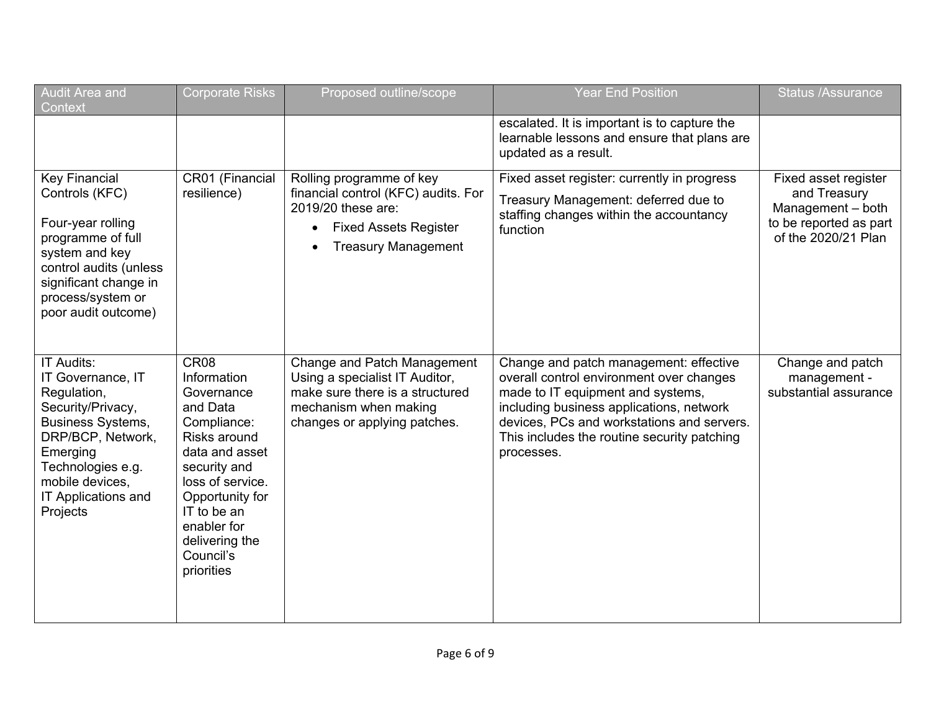| Audit Area and<br>Context                                                                                                                                                                                   | <b>Corporate Risks</b>                                                                                                                                                                                                           | Proposed outline/scope                                                                                                                                    | <b>Year End Position</b>                                                                                                                                                                                                                                                       | <b>Status /Assurance</b>                                                                                   |
|-------------------------------------------------------------------------------------------------------------------------------------------------------------------------------------------------------------|----------------------------------------------------------------------------------------------------------------------------------------------------------------------------------------------------------------------------------|-----------------------------------------------------------------------------------------------------------------------------------------------------------|--------------------------------------------------------------------------------------------------------------------------------------------------------------------------------------------------------------------------------------------------------------------------------|------------------------------------------------------------------------------------------------------------|
|                                                                                                                                                                                                             |                                                                                                                                                                                                                                  |                                                                                                                                                           | escalated. It is important is to capture the<br>learnable lessons and ensure that plans are<br>updated as a result.                                                                                                                                                            |                                                                                                            |
| <b>Key Financial</b><br>Controls (KFC)<br>Four-year rolling<br>programme of full<br>system and key<br>control audits (unless<br>significant change in<br>process/system or<br>poor audit outcome)           | CR01 (Financial<br>resilience)                                                                                                                                                                                                   | Rolling programme of key<br>financial control (KFC) audits. For<br>2019/20 these are:<br><b>Fixed Assets Register</b><br><b>Treasury Management</b>       | Fixed asset register: currently in progress<br>Treasury Management: deferred due to<br>staffing changes within the accountancy<br>function                                                                                                                                     | Fixed asset register<br>and Treasury<br>Management - both<br>to be reported as part<br>of the 2020/21 Plan |
| IT Audits:<br>IT Governance, IT<br>Regulation,<br>Security/Privacy,<br><b>Business Systems,</b><br>DRP/BCP, Network,<br>Emerging<br>Technologies e.g.<br>mobile devices,<br>IT Applications and<br>Projects | CR08<br>Information<br>Governance<br>and Data<br>Compliance:<br>Risks around<br>data and asset<br>security and<br>loss of service.<br>Opportunity for<br>IT to be an<br>enabler for<br>delivering the<br>Council's<br>priorities | Change and Patch Management<br>Using a specialist IT Auditor,<br>make sure there is a structured<br>mechanism when making<br>changes or applying patches. | Change and patch management: effective<br>overall control environment over changes<br>made to IT equipment and systems,<br>including business applications, network<br>devices, PCs and workstations and servers.<br>This includes the routine security patching<br>processes. | Change and patch<br>management -<br>substantial assurance                                                  |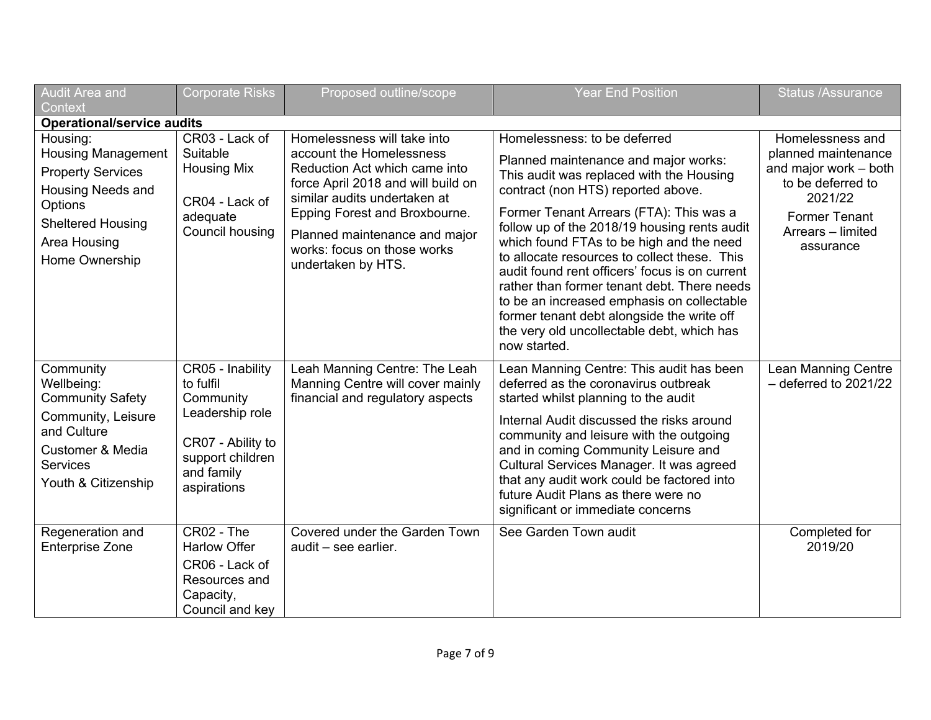| <b>Audit Area and</b><br>Context                                                                                                                                | <b>Corporate Risks</b>                                                                                                              | Proposed outline/scope                                                                                                                                                                                                                                                                | <b>Year End Position</b>                                                                                                                                                                                                                                                                                                                                                                                                                                                                                                                                                                                 | <b>Status /Assurance</b>                                                                                                                                   |  |  |
|-----------------------------------------------------------------------------------------------------------------------------------------------------------------|-------------------------------------------------------------------------------------------------------------------------------------|---------------------------------------------------------------------------------------------------------------------------------------------------------------------------------------------------------------------------------------------------------------------------------------|----------------------------------------------------------------------------------------------------------------------------------------------------------------------------------------------------------------------------------------------------------------------------------------------------------------------------------------------------------------------------------------------------------------------------------------------------------------------------------------------------------------------------------------------------------------------------------------------------------|------------------------------------------------------------------------------------------------------------------------------------------------------------|--|--|
|                                                                                                                                                                 | <b>Operational/service audits</b>                                                                                                   |                                                                                                                                                                                                                                                                                       |                                                                                                                                                                                                                                                                                                                                                                                                                                                                                                                                                                                                          |                                                                                                                                                            |  |  |
| Housing:<br><b>Housing Management</b><br><b>Property Services</b><br>Housing Needs and<br>Options<br><b>Sheltered Housing</b><br>Area Housing<br>Home Ownership | CR03 - Lack of<br>Suitable<br><b>Housing Mix</b><br>CR04 - Lack of<br>adequate<br>Council housing                                   | Homelessness will take into<br>account the Homelessness<br>Reduction Act which came into<br>force April 2018 and will build on<br>similar audits undertaken at<br>Epping Forest and Broxbourne.<br>Planned maintenance and major<br>works: focus on those works<br>undertaken by HTS. | Homelessness: to be deferred<br>Planned maintenance and major works:<br>This audit was replaced with the Housing<br>contract (non HTS) reported above.<br>Former Tenant Arrears (FTA): This was a<br>follow up of the 2018/19 housing rents audit<br>which found FTAs to be high and the need<br>to allocate resources to collect these. This<br>audit found rent officers' focus is on current<br>rather than former tenant debt. There needs<br>to be an increased emphasis on collectable<br>former tenant debt alongside the write off<br>the very old uncollectable debt, which has<br>now started. | Homelessness and<br>planned maintenance<br>and major work - both<br>to be deferred to<br>2021/22<br><b>Former Tenant</b><br>Arrears - limited<br>assurance |  |  |
| Community<br>Wellbeing:<br><b>Community Safety</b><br>Community, Leisure<br>and Culture<br>Customer & Media<br><b>Services</b><br>Youth & Citizenship           | CR05 - Inability<br>to fulfil<br>Community<br>Leadership role<br>CR07 - Ability to<br>support children<br>and family<br>aspirations | Leah Manning Centre: The Leah<br>Manning Centre will cover mainly<br>financial and regulatory aspects                                                                                                                                                                                 | Lean Manning Centre: This audit has been<br>deferred as the coronavirus outbreak<br>started whilst planning to the audit<br>Internal Audit discussed the risks around<br>community and leisure with the outgoing<br>and in coming Community Leisure and<br>Cultural Services Manager. It was agreed<br>that any audit work could be factored into<br>future Audit Plans as there were no<br>significant or immediate concerns                                                                                                                                                                            | Lean Manning Centre<br>$-$ deferred to 2021/22                                                                                                             |  |  |
| Regeneration and<br><b>Enterprise Zone</b>                                                                                                                      | CR02 - The<br><b>Harlow Offer</b><br>CR06 - Lack of<br>Resources and<br>Capacity,<br>Council and key                                | Covered under the Garden Town<br>audit - see earlier.                                                                                                                                                                                                                                 | See Garden Town audit                                                                                                                                                                                                                                                                                                                                                                                                                                                                                                                                                                                    | Completed for<br>2019/20                                                                                                                                   |  |  |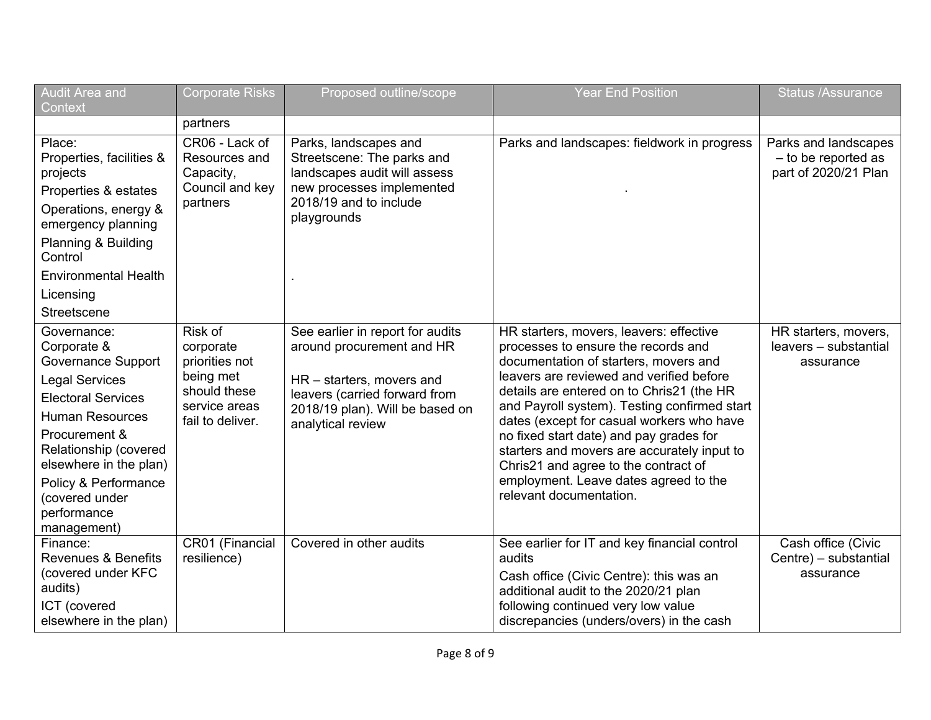| Audit Area and<br>Context                                                                                                                                                                                                                                                    | <b>Corporate Risks</b>                                                                                   | Proposed outline/scope                                                                                                                                                              | <b>Year End Position</b>                                                                                                                                                                                                                                                                                                                                                                                                                                                                                            | <b>Status /Assurance</b>                                            |
|------------------------------------------------------------------------------------------------------------------------------------------------------------------------------------------------------------------------------------------------------------------------------|----------------------------------------------------------------------------------------------------------|-------------------------------------------------------------------------------------------------------------------------------------------------------------------------------------|---------------------------------------------------------------------------------------------------------------------------------------------------------------------------------------------------------------------------------------------------------------------------------------------------------------------------------------------------------------------------------------------------------------------------------------------------------------------------------------------------------------------|---------------------------------------------------------------------|
|                                                                                                                                                                                                                                                                              | partners                                                                                                 |                                                                                                                                                                                     |                                                                                                                                                                                                                                                                                                                                                                                                                                                                                                                     |                                                                     |
| Place:<br>Properties, facilities &<br>projects<br>Properties & estates<br>Operations, energy &<br>emergency planning<br>Planning & Building<br>Control<br><b>Environmental Health</b><br>Licensing                                                                           | CR06 - Lack of<br>Resources and<br>Capacity,<br>Council and key<br>partners                              | Parks, landscapes and<br>Streetscene: The parks and<br>landscapes audit will assess<br>new processes implemented<br>2018/19 and to include<br>playgrounds                           | Parks and landscapes: fieldwork in progress                                                                                                                                                                                                                                                                                                                                                                                                                                                                         | Parks and landscapes<br>- to be reported as<br>part of 2020/21 Plan |
| Streetscene                                                                                                                                                                                                                                                                  |                                                                                                          |                                                                                                                                                                                     |                                                                                                                                                                                                                                                                                                                                                                                                                                                                                                                     |                                                                     |
| Governance:<br>Corporate &<br>Governance Support<br><b>Legal Services</b><br><b>Electoral Services</b><br><b>Human Resources</b><br>Procurement &<br>Relationship (covered<br>elsewhere in the plan)<br>Policy & Performance<br>(covered under<br>performance<br>management) | Risk of<br>corporate<br>priorities not<br>being met<br>should these<br>service areas<br>fail to deliver. | See earlier in report for audits<br>around procurement and HR<br>HR - starters, movers and<br>leavers (carried forward from<br>2018/19 plan). Will be based on<br>analytical review | HR starters, movers, leavers: effective<br>processes to ensure the records and<br>documentation of starters, movers and<br>leavers are reviewed and verified before<br>details are entered on to Chris21 (the HR<br>and Payroll system). Testing confirmed start<br>dates (except for casual workers who have<br>no fixed start date) and pay grades for<br>starters and movers are accurately input to<br>Chris21 and agree to the contract of<br>employment. Leave dates agreed to the<br>relevant documentation. | HR starters, movers,<br>leavers - substantial<br>assurance          |
| Finance:<br><b>Revenues &amp; Benefits</b><br>(covered under KFC<br>audits)<br>ICT (covered<br>elsewhere in the plan)                                                                                                                                                        | CR01 (Financial<br>resilience)                                                                           | Covered in other audits                                                                                                                                                             | See earlier for IT and key financial control<br>audits<br>Cash office (Civic Centre): this was an<br>additional audit to the 2020/21 plan<br>following continued very low value<br>discrepancies (unders/overs) in the cash                                                                                                                                                                                                                                                                                         | Cash office (Civic<br>Centre) - substantial<br>assurance            |